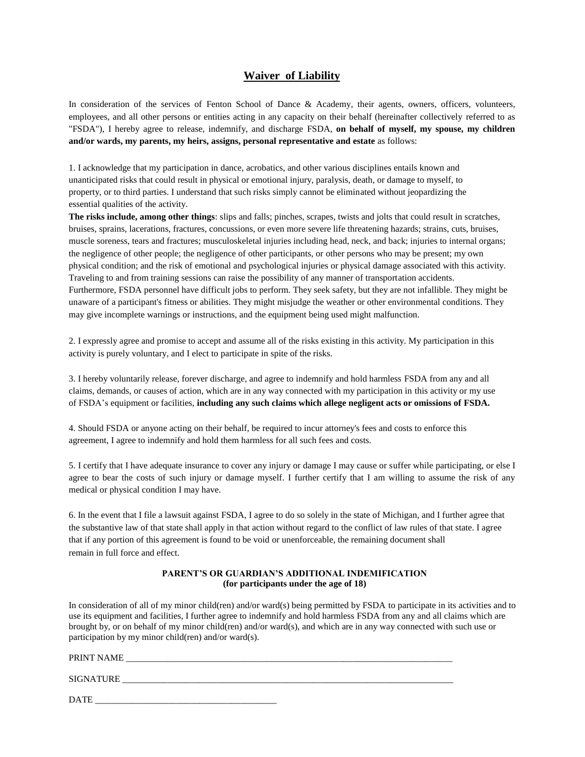# **Waiver of Liability**

In consideration of the services of Fenton School of Dance & Academy, their agents, owners, officers, volunteers, employees, and all other persons or entities acting in any capacity on their behalf (hereinafter collectively referred to as "FSDA"), I hereby agree to release, indemnify, and discharge FSDA, **on behalf of myself, my spouse, my children and/or wards, my parents, my heirs, assigns, personal representative and estate** as follows:

1. I acknowledge that my participation in dance, acrobatics, and other various disciplines entails known and unanticipated risks that could result in physical or emotional injury, paralysis, death, or damage to myself, to property, or to third parties. I understand that such risks simply cannot be eliminated without jeopardizing the essential qualities of the activity.

**The risks include, among other things**: slips and falls; pinches, scrapes, twists and jolts that could result in scratches, bruises, sprains, lacerations, fractures, concussions, or even more severe life threatening hazards; strains, cuts, bruises, muscle soreness, tears and fractures; musculoskeletal injuries including head, neck, and back; injuries to internal organs; the negligence of other people; the negligence of other participants, or other persons who may be present; my own physical condition; and the risk of emotional and psychological injuries or physical damage associated with this activity. Traveling to and from training sessions can raise the possibility of any manner of transportation accidents. Furthermore, FSDA personnel have difficult jobs to perform. They seek safety, but they are not infallible. They might be unaware of a participant's fitness or abilities. They might misjudge the weather or other environmental conditions. They may give incomplete warnings or instructions, and the equipment being used might malfunction.

2. I expressly agree and promise to accept and assume all of the risks existing in this activity. My participation in this activity is purely voluntary, and I elect to participate in spite of the risks.

3. I hereby voluntarily release, forever discharge, and agree to indemnify and hold harmless FSDA from any and all claims, demands, or causes of action, which are in any way connected with my participation in this activity or my use of FSDA's equipment or facilities, **including any such claims which allege negligent acts or omissions of FSDA.**

4. Should FSDA or anyone acting on their behalf, be required to incur attorney's fees and costs to enforce this agreement, I agree to indemnify and hold them harmless for all such fees and costs.

5. I certify that I have adequate insurance to cover any injury or damage I may cause or suffer while participating, or else I agree to bear the costs of such injury or damage myself. I further certify that I am willing to assume the risk of any medical or physical condition I may have.

6. In the event that I file a lawsuit against FSDA, I agree to do so solely in the state of Michigan, and I further agree that the substantive law of that state shall apply in that action without regard to the conflict of law rules of that state. I agree that if any portion of this agreement is found to be void or unenforceable, the remaining document shall remain in full force and effect.

## **PARENT'S OR GUARDIAN'S ADDITIONAL INDEMIFICATION (for participants under the age of 18)**

In consideration of all of my minor child(ren) and/or ward(s) being permitted by FSDA to participate in its activities and to use its equipment and facilities, I further agree to indemnify and hold harmless FSDA from any and all claims which are brought by, or on behalf of my minor child(ren) and/or ward(s), and which are in any way connected with such use or participation by my minor child(ren) and/or ward(s).

#### PRINT NAME

SIGNATURE \_\_\_\_\_\_\_\_\_\_\_\_\_\_\_\_\_\_\_\_\_\_\_\_\_\_\_\_\_\_\_\_\_\_\_\_\_\_\_\_\_\_\_\_\_\_\_\_\_\_\_\_\_\_\_\_\_\_\_\_\_\_\_\_\_\_\_\_\_\_\_\_\_

DATE \_\_\_\_\_\_\_\_\_\_\_\_\_\_\_\_\_\_\_\_\_\_\_\_\_\_\_\_\_\_\_\_\_\_\_\_\_\_\_\_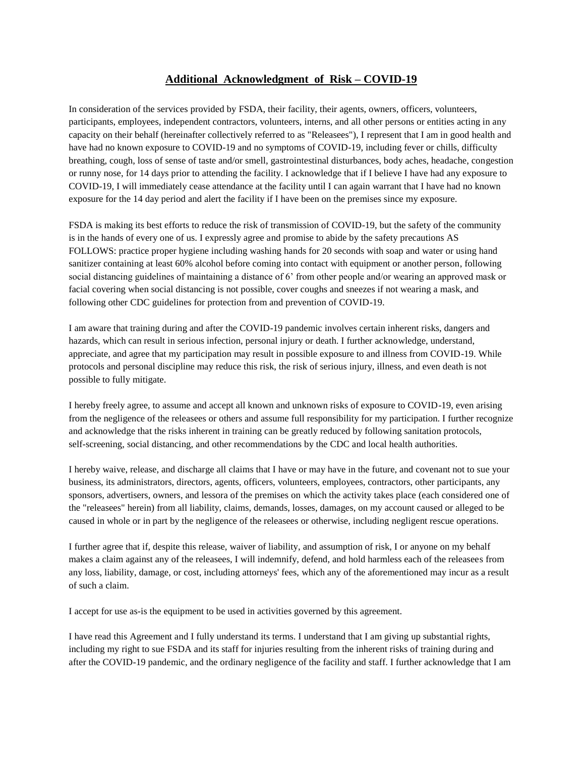## **Additional Acknowledgment of Risk – COVID-19**

In consideration of the services provided by FSDA, their facility, their agents, owners, officers, volunteers, participants, employees, independent contractors, volunteers, interns, and all other persons or entities acting in any capacity on their behalf (hereinafter collectively referred to as "Releasees"), I represent that I am in good health and have had no known exposure to COVID-19 and no symptoms of COVID-19, including fever or chills, difficulty breathing, cough, loss of sense of taste and/or smell, gastrointestinal disturbances, body aches, headache, congestion or runny nose, for 14 days prior to attending the facility. I acknowledge that if I believe I have had any exposure to COVID-19, I will immediately cease attendance at the facility until I can again warrant that I have had no known exposure for the 14 day period and alert the facility if I have been on the premises since my exposure.

FSDA is making its best efforts to reduce the risk of transmission of COVID-19, but the safety of the community is in the hands of every one of us. I expressly agree and promise to abide by the safety precautions AS FOLLOWS: practice proper hygiene including washing hands for 20 seconds with soap and water or using hand sanitizer containing at least 60% alcohol before coming into contact with equipment or another person, following social distancing guidelines of maintaining a distance of 6' from other people and/or wearing an approved mask or facial covering when social distancing is not possible, cover coughs and sneezes if not wearing a mask, and following other CDC guidelines for protection from and prevention of COVID-19.

I am aware that training during and after the COVID-19 pandemic involves certain inherent risks, dangers and hazards, which can result in serious infection, personal injury or death. I further acknowledge, understand, appreciate, and agree that my participation may result in possible exposure to and illness from COVID-19. While protocols and personal discipline may reduce this risk, the risk of serious injury, illness, and even death is not possible to fully mitigate.

I hereby freely agree, to assume and accept all known and unknown risks of exposure to COVID-19, even arising from the negligence of the releasees or others and assume full responsibility for my participation. I further recognize and acknowledge that the risks inherent in training can be greatly reduced by following sanitation protocols, self-screening, social distancing, and other recommendations by the CDC and local health authorities.

I hereby waive, release, and discharge all claims that I have or may have in the future, and covenant not to sue your business, its administrators, directors, agents, officers, volunteers, employees, contractors, other participants, any sponsors, advertisers, owners, and lessora of the premises on which the activity takes place (each considered one of the "releasees" herein) from all liability, claims, demands, losses, damages, on my account caused or alleged to be caused in whole or in part by the negligence of the releasees or otherwise, including negligent rescue operations.

I further agree that if, despite this release, waiver of liability, and assumption of risk, I or anyone on my behalf makes a claim against any of the releasees, I will indemnify, defend, and hold harmless each of the releasees from any loss, liability, damage, or cost, including attorneys' fees, which any of the aforementioned may incur as a result of such a claim.

I accept for use as-is the equipment to be used in activities governed by this agreement.

I have read this Agreement and I fully understand its terms. I understand that I am giving up substantial rights, including my right to sue FSDA and its staff for injuries resulting from the inherent risks of training during and after the COVID-19 pandemic, and the ordinary negligence of the facility and staff. I further acknowledge that I am